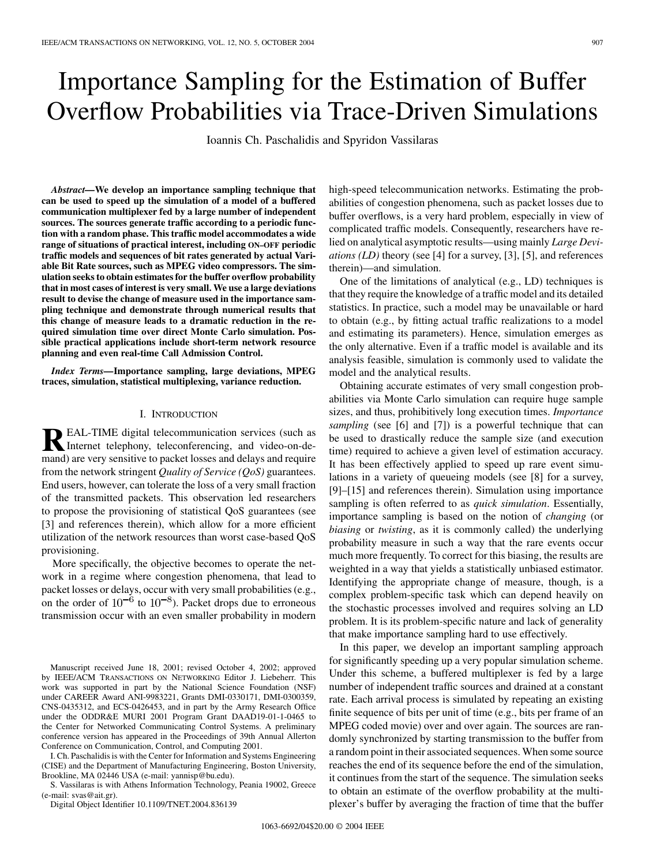# Importance Sampling for the Estimation of Buffer Overflow Probabilities via Trace-Driven Simulations

Ioannis Ch. Paschalidis and Spyridon Vassilaras

*Abstract—***We develop an importance sampling technique that can be used to speed up the simulation of a model of a buffered communication multiplexer fed by a large number of independent sources. The sources generate traffic according to a periodic function with a random phase. This traffic model accommodates a wide range of situations of practical interest, including ON–OFF periodic traffic models and sequences of bit rates generated by actual Variable Bit Rate sources, such as MPEG video compressors. The simulation seeks to obtain estimates for the buffer overflow probability that in most cases of interest is very small. We use a large deviations result to devise the change of measure used in the importance sampling technique and demonstrate through numerical results that this change of measure leads to a dramatic reduction in the required simulation time over direct Monte Carlo simulation. Possible practical applications include short-term network resource planning and even real-time Call Admission Control.**

*Index Terms—***Importance sampling, large deviations, MPEG traces, simulation, statistical multiplexing, variance reduction.**

#### I. INTRODUCTION

**REAL-TIME** digital telecommunication services (such as<br>Internet telephony, teleconferencing, and video-on-de-<br>mand) are used consisting to posited losses and delays and position mand) are very sensitive to packet losses and delays and require from the network stringent *Quality of Service (QoS)* guarantees. End users, however, can tolerate the loss of a very small fraction of the transmitted packets. This observation led researchers to propose the provisioning of statistical QoS guarantees (see [\[3](#page-12-0)] and references therein), which allow for a more efficient utilization of the network resources than worst case-based QoS provisioning.

More specifically, the objective becomes to operate the network in a regime where congestion phenomena, that lead to packet losses or delays, occur with very small probabilities (e.g., on the order of  $10^{-6}$  to  $10^{-8}$ ). Packet drops due to erroneous transmission occur with an even smaller probability in modern

Manuscript received June 18, 2001; revised October 4, 2002; approved by IEEE/ACM TRANSACTIONS ON NETWORKING Editor J. Liebeherr. This work was supported in part by the National Science Foundation (NSF) under CAREER Award ANI-9983221, Grants DMI-0330171, DMI-0300359, CNS-0435312, and ECS-0426453, and in part by the Army Research Office under the ODDR&E MURI 2001 Program Grant DAAD19-01-1-0465 to the Center for Networked Communicating Control Systems. A preliminary conference version has appeared in the Proceedings of 39th Annual Allerton Conference on Communication, Control, and Computing 2001.

I. Ch. Paschalidis is with the Center for Information and Systems Engineering (CISE) and the Department of Manufacturing Engineering, Boston University, Brookline, MA 02446 USA (e-mail: yannisp@bu.edu).

S. Vassilaras is with Athens Information Technology, Peania 19002, Greece (e-mail: svas@ait.gr).

Digital Object Identifier 10.1109/TNET.2004.836139

high-speed telecommunication networks. Estimating the probabilities of congestion phenomena, such as packet losses due to buffer overflows, is a very hard problem, especially in view of complicated traffic models. Consequently, researchers have relied on analytical asymptotic results—using mainly *Large Deviations (LD)* theory (see [\[4](#page-12-0)] for a survey, [[3\]](#page-12-0), [\[5](#page-12-0)], and references therein)—and simulation.

One of the limitations of analytical (e.g., LD) techniques is that they require the knowledge of a traffic model and its detailed statistics. In practice, such a model may be unavailable or hard to obtain (e.g., by fitting actual traffic realizations to a model and estimating its parameters). Hence, simulation emerges as the only alternative. Even if a traffic model is available and its analysis feasible, simulation is commonly used to validate the model and the analytical results.

Obtaining accurate estimates of very small congestion probabilities via Monte Carlo simulation can require huge sample sizes, and thus, prohibitively long execution times. *Importance sampling* (see [[6\]](#page-12-0) and [\[7](#page-12-0)]) is a powerful technique that can be used to drastically reduce the sample size (and execution time) required to achieve a given level of estimation accuracy. It has been effectively applied to speed up rare event simulations in a variety of queueing models (see [[8\]](#page-12-0) for a survey, [\[9](#page-12-0)]–[\[15](#page-12-0)] and references therein). Simulation using importance sampling is often referred to as *quick simulation*. Essentially, importance sampling is based on the notion of *changing* (or *biasing* or *twisting*, as it is commonly called) the underlying probability measure in such a way that the rare events occur much more frequently. To correct for this biasing, the results are weighted in a way that yields a statistically unbiased estimator. Identifying the appropriate change of measure, though, is a complex problem-specific task which can depend heavily on the stochastic processes involved and requires solving an LD problem. It is its problem-specific nature and lack of generality that make importance sampling hard to use effectively.

In this paper, we develop an important sampling approach for significantly speeding up a very popular simulation scheme. Under this scheme, a buffered multiplexer is fed by a large number of independent traffic sources and drained at a constant rate. Each arrival process is simulated by repeating an existing finite sequence of bits per unit of time (e.g., bits per frame of an MPEG coded movie) over and over again. The sources are randomly synchronized by starting transmission to the buffer from a random point in their associated sequences. When some source reaches the end of its sequence before the end of the simulation, it continues from the start of the sequence. The simulation seeks to obtain an estimate of the overflow probability at the multiplexer's buffer by averaging the fraction of time that the buffer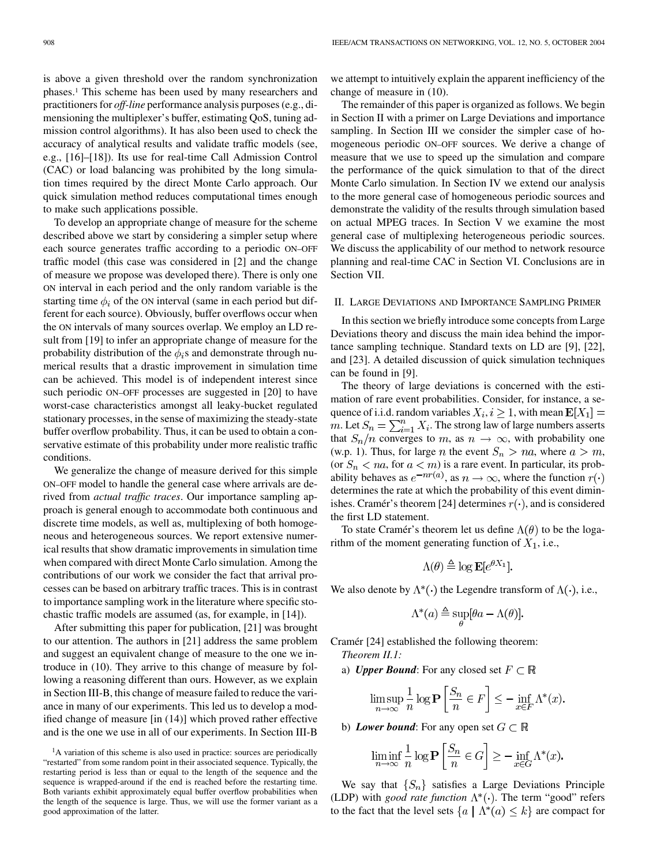is above a given threshold over the random synchronization phases.1 This scheme has been used by many researchers and practitioners for *off-line* performance analysis purposes (e.g., dimensioning the multiplexer's buffer, estimating QoS, tuning admission control algorithms). It has also been used to check the accuracy of analytical results and validate traffic models (see, e.g., [\[16](#page-12-0)]–[\[18\]](#page-12-0)). Its use for real-time Call Admission Control (CAC) or load balancing was prohibited by the long simulation times required by the direct Monte Carlo approach. Our quick simulation method reduces computational times enough to make such applications possible.

To develop an appropriate change of measure for the scheme described above we start by considering a simpler setup where each source generates traffic according to a periodic ON–OFF traffic model (this case was considered in [\[2](#page-12-0)] and the change of measure we propose was developed there). There is only one ON interval in each period and the only random variable is the starting time  $\phi_i$  of the ON interval (same in each period but different for each source). Obviously, buffer overflows occur when the ON intervals of many sources overlap. We employ an LD result from [\[19](#page-12-0)] to infer an appropriate change of measure for the probability distribution of the  $\phi_i$ s and demonstrate through numerical results that a drastic improvement in simulation time can be achieved. This model is of independent interest since such periodic ON–OFF processes are suggested in [[20](#page-12-0)] to have worst-case characteristics amongst all leaky-bucket regulated stationary processes, in the sense of maximizing the steady-state buffer overflow probability. Thus, it can be used to obtain a conservative estimate of this probability under more realistic traffic conditions.

We generalize the change of measure derived for this simple ON–OFF model to handle the general case where arrivals are derived from *actual traffic traces*. Our importance sampling approach is general enough to accommodate both continuous and discrete time models, as well as, multiplexing of both homogeneous and heterogeneous sources. We report extensive numerical results that show dramatic improvements in simulation time when compared with direct Monte Carlo simulation. Among the contributions of our work we consider the fact that arrival processes can be based on arbitrary traffic traces. This is in contrast to importance sampling work in the literature where specific stochastic traffic models are assumed (as, for example, in [[14\]](#page-12-0)).

After submitting this paper for publication, [\[21](#page-12-0)] was brought to our attention. The authors in [[21\]](#page-12-0) address the same problem and suggest an equivalent change of measure to the one we introduce in (10). They arrive to this change of measure by following a reasoning different than ours. However, as we explain in Section III-B, this change of measure failed to reduce the variance in many of our experiments. This led us to develop a modified change of measure [in (14)] which proved rather effective and is the one we use in all of our experiments. In Section III-B

we attempt to intuitively explain the apparent inefficiency of the change of measure in (10).

The remainder of this paper is organized as follows. We begin in Section II with a primer on Large Deviations and importance sampling. In Section III we consider the simpler case of homogeneous periodic ON–OFF sources. We derive a change of measure that we use to speed up the simulation and compare the performance of the quick simulation to that of the direct Monte Carlo simulation. In Section IV we extend our analysis to the more general case of homogeneous periodic sources and demonstrate the validity of the results through simulation based on actual MPEG traces. In Section V we examine the most general case of multiplexing heterogeneous periodic sources. We discuss the applicability of our method to network resource planning and real-time CAC in Section VI. Conclusions are in Section VII.

# II. LARGE DEVIATIONS AND IMPORTANCE SAMPLING PRIMER

In this section we briefly introduce some concepts from Large Deviations theory and discuss the main idea behind the importance sampling technique. Standard texts on LD are [[9](#page-12-0)], [[22\]](#page-12-0), and [\[23](#page-12-0)]. A detailed discussion of quick simulation techniques can be found in [[9\]](#page-12-0).

The theory of large deviations is concerned with the estimation of rare event probabilities. Consider, for instance, a sequence of i.i.d. random variables  $X_i, i \geq 1$ , with mean  $\mathbf{E}[X_1] =$ m. Let  $S_n = \sum_{i=1}^n X_i$ . The strong law of large numbers asserts that  $S_n/n$  converges to m, as  $n \to \infty$ , with probability one (w.p. 1). Thus, for large *n* the event  $S_n > na$ , where  $a > m$ , (or  $S_n < na$ , for  $a < m$ ) is a rare event. In particular, its probability behaves as  $e^{-nr(a)}$ , as  $n \to \infty$ , where the function  $r(\cdot)$ determines the rate at which the probability of this event dimin-ishes. Cramér's theorem [\[24](#page-12-0)] determines  $r(\cdot)$ , and is considered the first LD statement.

To state Cramér's theorem let us define  $\Lambda(\theta)$  to be the logarithm of the moment generating function of  $X_1$ , i.e.,

$$
\Lambda(\theta) \triangleq \log \mathbf{E}[e^{\theta X_1}].
$$

We also denote by  $\Lambda^*(\cdot)$  the Legendre transform of  $\Lambda(\cdot)$ , i.e.,

$$
\Lambda^*(a) \triangleq \sup_{\theta} [\theta a - \Lambda(\theta)].
$$

Cramér [\[24](#page-12-0)] established the following theorem: *Theorem II.1:*

a) *Upper Bound*: For any closed set  $F \subset \mathbb{R}$ 

$$
\limsup_{n \to \infty} \frac{1}{n} \log \mathbf{P} \left[ \frac{S_n}{n} \in F \right] \le - \inf_{x \in F} \Lambda^*(x).
$$

b) *Lower bound*: For any open set  $G \subset \mathbb{R}$ 

$$
\liminf_{n \to \infty} \frac{1}{n} \log \mathbf{P} \left[ \frac{S_n}{n} \in G \right] \ge - \inf_{x \in G} \Lambda^*(x).
$$

We say that  $\{S_n\}$  satisfies a Large Deviations Principle (LDP) with *good rate function*  $\Lambda^*(\cdot)$ . The term "good" refers to the fact that the level sets  $\{a \mid \Lambda^*(a) \leq k\}$  are compact for

<sup>&</sup>lt;sup>1</sup>A variation of this scheme is also used in practice: sources are periodically "restarted" from some random point in their associated sequence. Typically, the restarting period is less than or equal to the length of the sequence and the sequence is wrapped-around if the end is reached before the restarting time. Both variants exhibit approximately equal buffer overflow probabilities when the length of the sequence is large. Thus, we will use the former variant as a good approximation of the latter.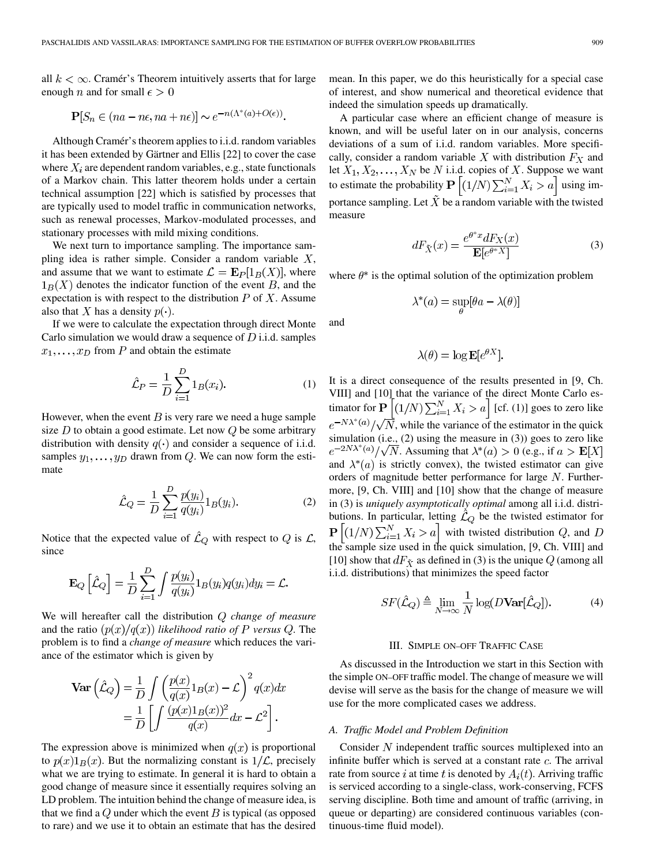all  $k < \infty$ . Cramér's Theorem intuitively asserts that for large enough *n* and for small  $\epsilon > 0$ 

$$
\mathbf{P}[S_n \in (na - n\epsilon, na + n\epsilon)] \sim e^{-n(\Lambda^*(a) + O(\epsilon))}
$$

Although Cramér's theorem applies to i.i.d. random variables it has been extended by Gärtner and Ellis [\[22](#page-12-0)] to cover the case where  $X_i$  are dependent random variables, e.g., state functionals of a Markov chain. This latter theorem holds under a certain technical assumption [\[22](#page-12-0)] which is satisfied by processes that are typically used to model traffic in communication networks, such as renewal processes, Markov-modulated processes, and stationary processes with mild mixing conditions.

We next turn to importance sampling. The importance sampling idea is rather simple. Consider a random variable  $X$ , and assume that we want to estimate  $\mathcal{L} = \mathbf{E}_P[\mathbb{1}_B(X)]$ , where  $1_B(X)$  denotes the indicator function of the event B, and the expectation is with respect to the distribution  $P$  of  $X$ . Assume also that X has a density  $p(\cdot)$ .

If we were to calculate the expectation through direct Monte Carlo simulation we would draw a sequence of  $D$  i.i.d. samples  $x_1, \ldots, x_D$  from P and obtain the estimate

$$
\hat{\mathcal{L}}_P = \frac{1}{D} \sum_{i=1}^D 1_B(x_i).
$$
 (1)

However, when the event  $B$  is very rare we need a huge sample size  $D$  to obtain a good estimate. Let now  $Q$  be some arbitrary distribution with density  $q(\cdot)$  and consider a sequence of i.i.d. samples  $y_1, \ldots, y_D$  drawn from Q. We can now form the estimate

$$
\hat{\mathcal{L}}_Q = \frac{1}{D} \sum_{i=1}^{D} \frac{p(y_i)}{q(y_i)} 1_B(y_i). \tag{2}
$$

Notice that the expected value of  $\hat{\mathcal{L}}_Q$  with respect to Q is  $\mathcal{L}$ , since

$$
\mathbf{E}_Q\left[\hat{\mathcal{L}}_Q\right] = \frac{1}{D} \sum_{i=1}^D \int \frac{p(y_i)}{q(y_i)} 1_B(y_i) q(y_i) dy_i = \mathcal{L}.
$$

We will hereafter call the distribution *Q change of measure* and the ratio  $\left(\frac{p(x)}{q(x)}\right)$  likelihood ratio of P versus Q. The problem is to find a *change of measure* which reduces the variance of the estimator which is given by

$$
\begin{split} \mathbf{Var}\left(\hat{\mathcal{L}}_{Q}\right) &= \frac{1}{D} \int \left(\frac{p(x)}{q(x)} 1_{B}(x) - \mathcal{L}\right)^{2} q(x) dx \\ &= \frac{1}{D} \left[ \int \frac{(p(x)1_{B}(x))^{2}}{q(x)} dx - \mathcal{L}^{2} \right]. \end{split}
$$

The expression above is minimized when  $q(x)$  is proportional to  $p(x)1_B(x)$ . But the normalizing constant is  $1/\mathcal{L}$ , precisely what we are trying to estimate. In general it is hard to obtain a good change of measure since it essentially requires solving an LD problem. The intuition behind the change of measure idea, is that we find a Q under which the event B is typical (as opposed to rare) and we use it to obtain an estimate that has the desired

mean. In this paper, we do this heuristically for a special case of interest, and show numerical and theoretical evidence that indeed the simulation speeds up dramatically.

A particular case where an efficient change of measure is known, and will be useful later on in our analysis, concerns deviations of a sum of i.i.d. random variables. More specifically, consider a random variable X with distribution  $F_X$  and let  $X_1, X_2, \ldots, X_N$  be N i.i.d. copies of X. Suppose we want to estimate the probability  $P\left[\left(1/N\right)\sum_{i=1}^{N} X_i > a\right]$  using importance sampling. Let  $\tilde{X}$  be a random variable with the twisted measure

$$
dF_{\tilde{X}}(x) = \frac{e^{\theta^*x} dF_X(x)}{\mathbf{E}[e^{\theta^*X}]} \tag{3}
$$

where  $\theta^*$  is the optimal solution of the optimization problem

$$
\lambda^*(a) = \sup_{\theta} [\theta a - \lambda(\theta)]
$$

and

$$
\lambda(\theta) = \log \mathbf{E}[e^{\theta X}].
$$

It is a direct consequence of the results presented in [[9,](#page-12-0) Ch. VIII] and [[10\]](#page-12-0) that the variance of the direct Monte Carlo estimator for  $P((1/N)\sum_{i=1}^{N} X_i > a$  [cf. (1)] goes to zero like , while the variance of the estimator in the quick simulation (i.e., (2) using the measure in (3)) goes to zero like  $e^{-2N\lambda^*(a)}/\sqrt{N}$ . Assuming that  $\lambda^*(a) > 0$  (e.g., if  $a > \mathbf{E}[X]$ and  $\lambda^*(a)$  is strictly convex), the twisted estimator can give orders of magnitude better performance for large  $N$ . Furthermore, [\[9](#page-12-0), Ch. VIII] and [[10\]](#page-12-0) show that the change of measure in (3) is *uniquely asymptotically optimal* among all i.i.d. distributions. In particular, letting  $\hat{\mathcal{L}}_Q$  be the twisted estimator for  $\mathbf{P}\left[\left(1/N\right)\sum_{i=1}^{N} X_i > a\right]$  with twisted distribution Q, and D the sample size used in the quick simulation, [\[9](#page-12-0), Ch. VIII] and [\[10](#page-12-0)] show that  $dF_{\tilde{x}}$  as defined in (3) is the unique Q (among all i.i.d. distributions) that minimizes the speed factor

$$
SF(\hat{\mathcal{L}}_Q) \triangleq \lim_{N \to \infty} \frac{1}{N} \log(D\mathbf{Var}[\hat{\mathcal{L}}_Q]). \tag{4}
$$

#### III. SIMPLE ON–OFF TRAFFIC CASE

As discussed in the Introduction we start in this Section with the simple ON–OFF traffic model. The change of measure we will devise will serve as the basis for the change of measure we will use for the more complicated cases we address.

#### *A. Traffic Model and Problem Definition*

Consider  $N$  independent traffic sources multiplexed into an infinite buffer which is served at a constant rate  $c$ . The arrival rate from source i at time t is denoted by  $A_i(t)$ . Arriving traffic is serviced according to a single-class, work-conserving, FCFS serving discipline. Both time and amount of traffic (arriving, in queue or departing) are considered continuous variables (continuous-time fluid model).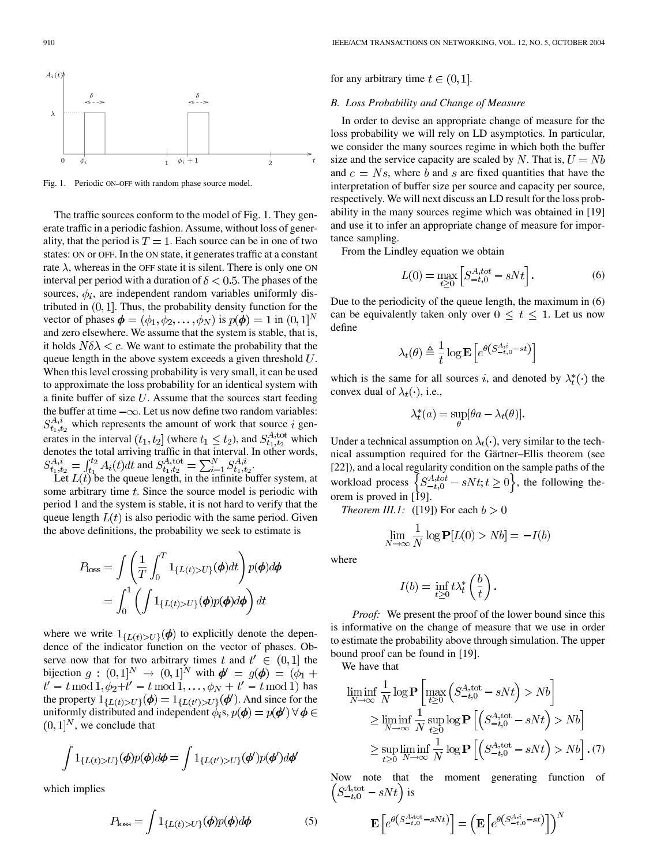

Fig. 1. Periodic ON–OFF with random phase source model.

The traffic sources conform to the model of Fig. 1. They generate traffic in a periodic fashion. Assume, without loss of generality, that the period is  $T = 1$ . Each source can be in one of two states: ON or OFF. In the ON state, it generates traffic at a constant rate  $\lambda$ , whereas in the OFF state it is silent. There is only one ON interval per period with a duration of  $\delta < 0.5$ . The phases of the sources,  $\phi_i$ , are independent random variables uniformly distributed in  $(0, 1]$ . Thus, the probability density function for the vector of phases  $\boldsymbol{\phi} = (\phi_1, \phi_2, \dots, \phi_N)$  is  $p(\boldsymbol{\phi}) = 1$  in  $(0, 1]^N$ and zero elsewhere. We assume that the system is stable, that is, it holds  $N\delta\lambda < c$ . We want to estimate the probability that the queue length in the above system exceeds a given threshold  $U$ . When this level crossing probability is very small, it can be used to approximate the loss probability for an identical system with a finite buffer of size  $U$ . Assume that the sources start feeding the buffer at time  $-\infty$ . Let us now define two random variables:  $S_{t_1,t_2}^{A,i}$  which represents the amount of work that source i generates in the interval  $(t_1, t_2]$  (where  $t_1 \le t_2$ ), and  $S_{t_1, t_2}^{A, \text{tot}}$  which denotes the total arriving traffic in that interval. In other words, and  $S_{t_1,t_2}^{A,\text{tot}} = \sum_{i=1}^{N} S_{t_1,t_2}^{A,i}$ .

Let  $L(t)$  be the queue length, in the infinite buffer system, at some arbitrary time  $t$ . Since the source model is periodic with period 1 and the system is stable, it is not hard to verify that the queue length  $L(t)$  is also periodic with the same period. Given the above definitions, the probability we seek to estimate is

$$
P_{\text{loss}} = \int \left(\frac{1}{T} \int_0^T 1_{\{L(t) > U\}}(\phi) dt\right) p(\phi) d\phi
$$
\n
$$
= \int_0^1 \left(\int 1_{\{L(t) > U\}}(\phi) p(\phi) d\phi\right) dt
$$

where we write  $1_{\{L(t) > U\}}(\phi)$  to explicitly denote the dependence of the indicator function on the vector of phases. Observe now that for two arbitrary times t and  $t' \in (0,1]$  the bijection  $g: (0,1]^N \rightarrow (0,1]^N$  with  $\phi' = g(\phi) = (\phi_1 +$  $t' - t \mod 1, \phi_2 + t' - t \mod 1, \ldots, \phi_N + t' - t \mod 1$  has the property  $1_{\{L(t)>U\}}(\boldsymbol{\phi}) = 1_{\{L(t')>U\}}(\boldsymbol{\phi}')$ . And since for the uniformly distributed and independent  $\phi_i$ s,  $p(\boldsymbol{\phi}) = p(\boldsymbol{\phi}') \forall \boldsymbol{\phi} \in \mathcal{S}$  $(0, 1]^N$ , we conclude that

$$
\int 1_{\{L(t) > U\}}(\phi)p(\phi)d\phi = \int 1_{\{L(t') > U\}}(\phi')p(\phi')d\phi'
$$

which implies

$$
P_{\text{loss}} = \int 1_{\{L(t) > U\}}(\boldsymbol{\phi}) p(\boldsymbol{\phi}) d\boldsymbol{\phi} \tag{5}
$$

for any arbitrary time  $t \in (0,1]$ .

# *B. Loss Probability and Change of Measure*

In order to devise an appropriate change of measure for the loss probability we will rely on LD asymptotics. In particular, we consider the many sources regime in which both the buffer size and the service capacity are scaled by N. That is,  $U = Nb$ and  $c = Ns$ , where b and s are fixed quantities that have the interpretation of buffer size per source and capacity per source, respectively. We will next discuss an LD result for the loss probability in the many sources regime which was obtained in [\[19](#page-12-0)] and use it to infer an appropriate change of measure for importance sampling.

From the Lindley equation we obtain

$$
L(0) = \max_{t \ge 0} \left[ S_{-t,0}^{A,tot} - sNt \right].
$$
 (6)

Due to the periodicity of the queue length, the maximum in (6) can be equivalently taken only over  $0 \le t \le 1$ . Let us now define

$$
\lambda_t(\theta) \triangleq \frac{1}{t} \log \mathbf{E} \left[ e^{\theta \left( S_{-t,0}^{A,i} - st \right)} \right]
$$

which is the same for all sources i, and denoted by  $\lambda_t^*(\cdot)$  the convex dual of  $\lambda_t(\cdot)$ , i.e.,

$$
\lambda_t^*(a) = \sup_{\theta} [\theta a - \lambda_t(\theta)].
$$

Under a technical assumption on  $\lambda_t(\cdot)$ , very similar to the technical assumption required for the Gärtner–Ellis theorem (see [[22\]](#page-12-0)), and a local regularity condition on the sample paths of the workload process  $\left\{ S_{-t,0}^{A,tot} - sNt; t \ge 0 \right\}$ , the following theorem is proved in [[19\]](#page-12-0).

*Theorem III.1:* ([[19\]](#page-12-0)) For each  $b > 0$ 

$$
\lim_{N \to \infty} \frac{1}{N} \log \mathbf{P}[L(0) > Nb] = -I(b)
$$

where

$$
I(b) = \inf_{t \ge 0} t \lambda_t^* \left(\frac{b}{t}\right).
$$

*Proof:* We present the proof of the lower bound since this is informative on the change of measure that we use in order to estimate the probability above through simulation. The upper bound proof can be found in [\[19](#page-12-0)].

We have that

$$
\liminf_{N \to \infty} \frac{1}{N} \log \mathbf{P} \left[ \max_{t \ge 0} \left( S_{-t,0}^{A, \text{tot}} - sNt \right) > Nb \right]
$$
\n
$$
\ge \liminf_{N \to \infty} \frac{1}{N} \sup_{t \ge 0} \log \mathbf{P} \left[ \left( S_{-t,0}^{A, \text{tot}} - sNt \right) > Nb \right]
$$
\n
$$
\ge \sup_{t \ge 0} \liminf_{N \to \infty} \frac{1}{N} \log \mathbf{P} \left[ \left( S_{-t,0}^{A, \text{tot}} - sNt \right) > Nb \right]. \tag{7}
$$

Now note that the moment generating function of  $\left(S_{-t,0}^{A,\text{tot}} - sNt\right)$  is

$$
\mathbf{E}\left[e^{\theta\left(S_{-t,0}^{A,tot} - sNt\right)}\right] = \left(\mathbf{E}\left[e^{\theta\left(S_{-t,0}^{A,i} - st\right)}\right]\right)^N
$$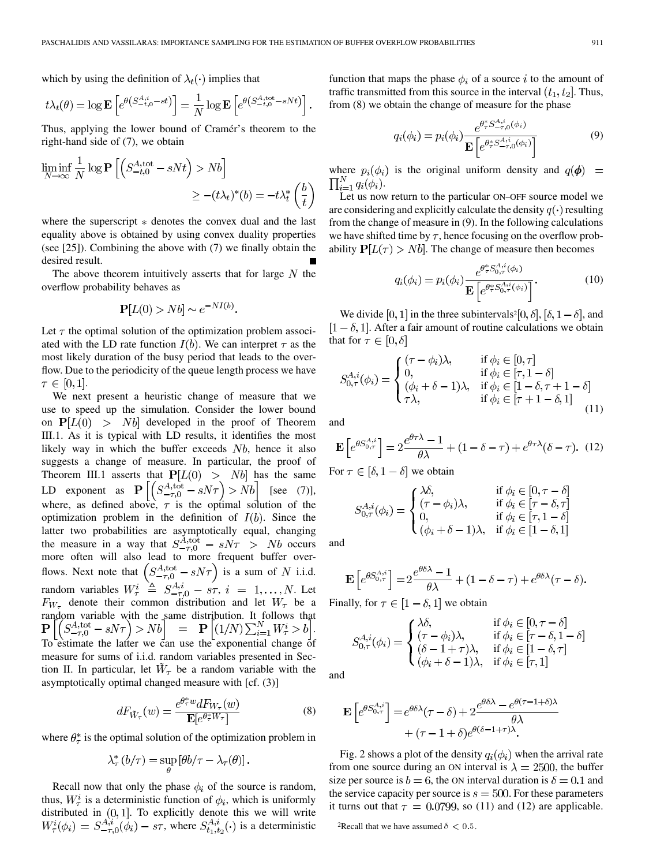which by using the definition of  $\lambda_t(\cdot)$  implies that

$$
t\lambda_t(\theta) = \log \mathbf{E}\left[e^{\theta \left(S_{-t,0}^{A,i} - st\right)}\right] = \frac{1}{N} \log \mathbf{E}\left[e^{\theta \left(S_{-t,0}^{A,\text{tot}} - sNt\right)}\right].
$$

Thus, applying the lower bound of Cramér's theorem to the right-hand side of (7), we obtain

$$
\liminf_{N \to \infty} \frac{1}{N} \log \mathbf{P} \left[ \left( S_{-t,0}^{A,\text{tot}} - sNt \right) > Nb \right]
$$
  

$$
\ge -(t\lambda_t)^*(b) = -t\lambda_t^* \left( \frac{b}{t} \right)
$$

where the superscript  $*$  denotes the convex dual and the last equality above is obtained by using convex duality properties (see [\[25](#page-12-0)]). Combining the above with (7) we finally obtain the desired result.

The above theorem intuitively asserts that for large  $N$  the overflow probability behaves as

$$
\mathbf{P}[L(0) > Nb] \sim e^{-N I(b)}.
$$

Let  $\tau$  the optimal solution of the optimization problem associated with the LD rate function  $I(b)$ . We can interpret  $\tau$  as the most likely duration of the busy period that leads to the overflow. Due to the periodicity of the queue length process we have  $\tau \in [0,1].$ 

We next present a heuristic change of measure that we use to speed up the simulation. Consider the lower bound on  $P[L(0) > Nb]$  developed in the proof of Theorem III.1. As it is typical with LD results, it identifies the most likely way in which the buffer exceeds  $Nb$ , hence it also suggests a change of measure. In particular, the proof of Theorem III.1 asserts that  $P[L(0) > Nb]$  has the same LD exponent as  $\mathbf{P}\left[\left(S_{-\tau,0}^{\text{A,tot}} - sN\tau\right) > Nb\right]$  [see (7)], where, as defined above,  $\tau$  is the optimal solution of the optimization problem in the definition of  $I(b)$ . Since the latter two probabilities are asymptotically equal, changing the measure in a way that  $S_{-\tau,0}^{A,\text{tot}} - sN\tau > Nb$  occurs more often will also lead to more frequent buffer overflows. Next note that  $S_{-\tau,0}^{A,\text{tot}} - sN\tau$  is a sum of N i.i.d. random variables  $W^i_\tau \triangleq S^{A,i}_{-\tau,0} - s\tau, i = 1,\ldots,N$ . Let  $F_{W_{\tau}}$  denote their common distribution and let  $W_{\tau}$  be a random variable with the same distribution. It follows that . To estimate the latter we can use the exponential change of measure for sums of i.i.d. random variables presented in Section II. In particular, let  $W_\tau$  be a random variable with the asymptotically optimal changed measure with [cf. (3)]

$$
dF_{\tilde{W}_{\tau}}(w) = \frac{e^{\theta_{\tau}^* w} dF_{W_{\tau}}(w)}{\mathbf{E}[e^{\theta_{\tau}^* W_{\tau}}]}
$$
(8)

where  $\theta^*_{\tau}$  is the optimal solution of the optimization problem in

$$
\lambda_{\tau}^*(b/\tau) = \sup_{\theta} \left[\theta b/\tau - \lambda_{\tau}(\theta)\right].
$$

Recall now that only the phase  $\phi_i$  of the source is random, thus,  $W_{\tau}^{i}$  is a deterministic function of  $\phi_{i}$ , which is uniformly distributed in  $(0, 1]$ . To explicitly denote this we will write  $W_{\tau}^{i}(\phi_i) = S_{-\tau,0}^{A,i}(\dot{\phi}_i) - s\tau$ , where  $S_{t_1,t_2}^{A,i}(\cdot)$  is a deterministic function that maps the phase  $\phi_i$  of a source i to the amount of traffic transmitted from this source in the interval  $(t_1, t_2]$ . Thus, from (8) we obtain the change of measure for the phase

$$
q_i(\phi_i) = p_i(\phi_i) \frac{e^{\theta_i^* S_{-\tau,0}^{A,i}(\phi_i)}}{\mathbf{E}\left[e^{\theta_i^* S_{-\tau,0}^{A,i}(\phi_i)}\right]}
$$
(9)

where  $p_i(\phi_i)$  is the original uniform density and  $q(\phi)$  =  $\prod_{i=1}^N q_i(\phi_i).$ 

Let us now return to the particular ON–OFF source model we are considering and explicitly calculate the density  $q(\cdot)$  resulting from the change of measure in (9). In the following calculations we have shifted time by  $\tau$ , hence focusing on the overflow probability  $P[L(\tau) > Nb]$ . The change of measure then becomes

$$
q_i(\phi_i) = p_i(\phi_i) \frac{e^{\theta_i^* S_{0,\tau}^{A,i}(\phi_i)}}{\mathbf{E}\left[e^{\theta_i^* S_{0,\tau}^{A,i}(\phi_i)}\right]}.
$$
 (10)

We divide [0, 1] in the three subintervals<sup>2</sup>[0,  $\delta$ ],  $[\delta, 1 - \delta]$ , and  $[1 - \delta, 1]$ . After a fair amount of routine calculations we obtain that for  $\tau \in [0,\delta]$ 

$$
S_{0,\tau}^{A,i}(\phi_i) = \begin{cases} (\tau - \phi_i)\lambda, & \text{if } \phi_i \in [0,\tau] \\ 0, & \text{if } \phi_i \in [\tau, 1 - \delta] \\ (\phi_i + \delta - 1)\lambda, & \text{if } \phi_i \in [1 - \delta, \tau + 1 - \delta] \\ \tau \lambda, & \text{if } \phi_i \in [\tau + 1 - \delta, 1] \end{cases}
$$
(11)

and

$$
\mathbf{E}\left[e^{\theta S_{0,\tau}^{A,i}}\right] = 2\frac{e^{\theta\tau\lambda} - 1}{\theta\lambda} + (1 - \delta - \tau) + e^{\theta\tau\lambda}(\delta - \tau). \tag{12}
$$

For  $\tau \in [\delta, 1-\delta]$  we obtain

$$
S_{0,\tau}^{A,i}(\phi_i) = \begin{cases} \lambda \delta, & \text{if } \phi_i \in [0, \tau - \delta] \\ (\tau - \phi_i)\lambda, & \text{if } \phi_i \in [\tau - \delta, \tau] \\ 0, & \text{if } \phi_i \in [\tau, 1 - \delta] \\ (\phi_i + \delta - 1)\lambda, & \text{if } \phi_i \in [1 - \delta, 1] \end{cases}
$$

and

$$
\mathbf{E}\left[e^{\theta S_{0,\tau}^{A,i}}\right] = 2\frac{e^{\theta\delta\lambda}-1}{\theta\lambda} + (1-\delta-\tau) + e^{\theta\delta\lambda}(\tau-\delta).
$$

Finally, for  $\tau \in [1 - \delta, 1]$  we obtain

$$
S_{0,\tau}^{A,i}(\phi_i) = \begin{cases} \lambda \delta, & \text{if } \phi_i \in [0, \tau - \delta] \\ (\tau - \phi_i)\lambda, & \text{if } \phi_i \in [\tau - \delta, 1 - \delta] \\ (\delta - 1 + \tau)\lambda, & \text{if } \phi_i \in [1 - \delta, \tau] \\ (\phi_i + \delta - 1)\lambda, & \text{if } \phi_i \in [\tau, 1] \end{cases}
$$

and

$$
\mathbf{E}\left[e^{\theta S_{0,\tau}^{A,i}}\right] = e^{\theta \delta \lambda} (\tau - \delta) + 2 \frac{e^{\theta \delta \lambda} - e^{\theta(\tau - 1 + \delta)}}{\theta \lambda} + (\tau - 1 + \delta) e^{\theta(\delta - 1 + \tau) \lambda}.
$$

Fig. 2 shows a plot of the density  $q_i(\phi_i)$  when the arrival rate from one source during an ON interval is  $\lambda = 2500$ , the buffer size per source is  $b = 6$ , the ON interval duration is  $\delta = 0.1$  and the service capacity per source is  $s = 500$ . For these parameters it turns out that  $\tau = 0.0799$ , so (11) and (12) are applicable.

<sup>&</sup>lt;sup>2</sup>Recall that we have assumed  $\delta$  < 0.5.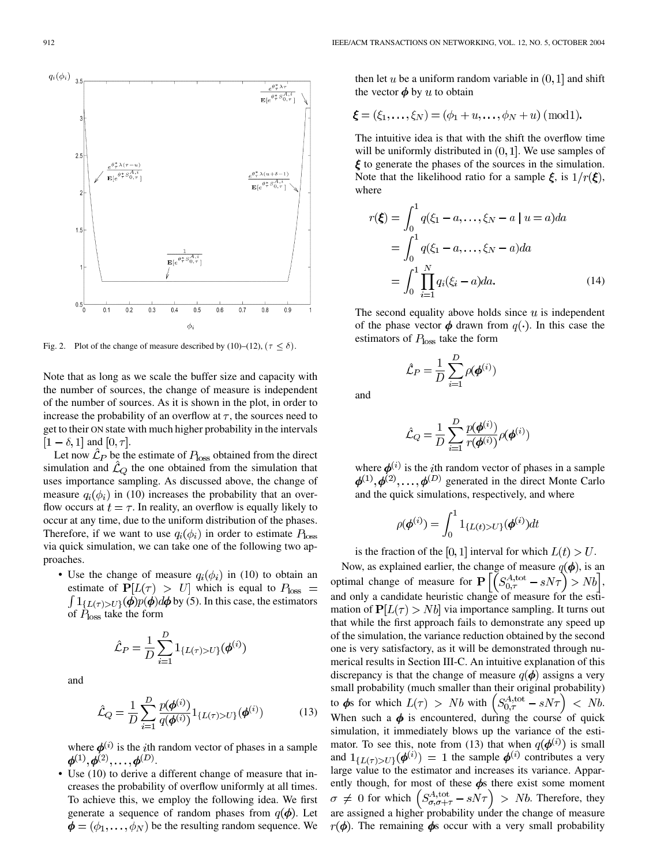

Fig. 2. Plot of the change of measure described by (10)–(12), ( $\tau \le \delta$ ).

Note that as long as we scale the buffer size and capacity with the number of sources, the change of measure is independent of the number of sources. As it is shown in the plot, in order to increase the probability of an overflow at  $\tau$ , the sources need to get to their ON state with much higher probability in the intervals  $[1 - \delta, 1]$  and  $[0, \tau]$ .

Let now  $\mathcal{L}_P$  be the estimate of  $P_{\text{loss}}$  obtained from the direct simulation and  $\mathcal{L}_Q$  the one obtained from the simulation that uses importance sampling. As discussed above, the change of measure  $q_i(\phi_i)$  in (10) increases the probability that an overflow occurs at  $t = \tau$ . In reality, an overflow is equally likely to occur at any time, due to the uniform distribution of the phases. Therefore, if we want to use  $q_i(\phi_i)$  in order to estimate  $P_{\text{loss}}$ via quick simulation, we can take one of the following two approaches.

• Use the change of measure  $q_i(\phi_i)$  in (10) to obtain an estimate of  $P[L(\tau) > U]$  which is equal to  $P_{loss}$  $\int 1_{\{L(\tau) > U\}}(\phi)p(\phi)d\phi$  by (5). In this case, the estimators of  $P_{\text{loss}}$  take the form

$$
\hat{\mathcal{L}}_P = \frac{1}{D} \sum_{i=1}^D 1_{\{L(\tau) > U\}}(\phi^{(i)})
$$

and

$$
\hat{\mathcal{L}}_Q = \frac{1}{D} \sum_{i=1}^D \frac{p(\pmb{\phi}^{(i)})}{q(\pmb{\phi}^{(i)})} 1_{\{L(\tau) > U\}}(\pmb{\phi}^{(i)})
$$
(13)

where  $\phi^{(i)}$  is the *i*th random vector of phases in a sample  $\phi^{(1)}, \phi^{(2)}, \ldots, \phi^{(D)}$ .

• Use (10) to derive a different change of measure that increases the probability of overflow uniformly at all times. To achieve this, we employ the following idea. We first generate a sequence of random phases from  $q(\phi)$ . Let  $\boldsymbol{\phi} = (\phi_1, \dots, \phi_N)$  be the resulting random sequence. We then let  $u$  be a uniform random variable in  $(0, 1]$  and shift the vector  $\phi$  by u to obtain

$$
\boldsymbol{\xi} = (\xi_1, \dots, \xi_N) = (\phi_1 + u, \dots, \phi_N + u) \, (\bmod 1).
$$

The intuitive idea is that with the shift the overflow time will be uniformly distributed in  $(0, 1]$ . We use samples of  $\epsilon$  to generate the phases of the sources in the simulation. Note that the likelihood ratio for a sample  $\xi$ , is  $1/r(\xi)$ , where

$$
r(\xi) = \int_0^1 q(\xi_1 - a, ..., \xi_N - a \mid u = a) da
$$
  
= 
$$
\int_0^1 q(\xi_1 - a, ..., \xi_N - a) da
$$
  
= 
$$
\int_0^1 \prod_{i=1}^N q_i(\xi_i - a) da.
$$
 (14)

The second equality above holds since  $u$  is independent of the phase vector  $\phi$  drawn from  $q(\cdot)$ . In this case the estimators of  $P_{\text{loss}}$  take the form

$$
\hat{\mathcal{L}}_P = \frac{1}{D}\sum_{i=1}^D \rho(\pmb{\phi}^{(i)})
$$

and

$$
\hat{\mathcal{L}}_Q = \frac{1}{D} \sum_{i=1}^{D} \frac{p(\pmb{\phi}^{(i)})}{r(\pmb{\phi}^{(i)})} \rho(\pmb{\phi}^{(i)})
$$

where  $\phi^{(i)}$  is the *i*th random vector of phases in a sample  $\phi^{(1)}, \phi^{(2)}, \ldots, \phi^{(D)}$  generated in the direct Monte Carlo and the quick simulations, respectively, and where

$$
\rho(\boldsymbol{\phi}^{(i)}) = \int_0^1 1_{\{L(t) > U\}}(\boldsymbol{\phi}^{(i)}) dt
$$

is the fraction of the [0, 1] interval for which  $L(t) > U$ .

Now, as explained earlier, the change of measure  $q(\phi)$ , is an optimal change of measure for  $P\left[\left(S_{0,\tau}^{A,\text{tot}} - sN\tau\right) > Nb\right]$ , and only a candidate heuristic change of measure for the estimation of  $P[L(\tau) > Nb]$  via importance sampling. It turns out that while the first approach fails to demonstrate any speed up of the simulation, the variance reduction obtained by the second one is very satisfactory, as it will be demonstrated through numerical results in Section III-C. An intuitive explanation of this discrepancy is that the change of measure  $q(\phi)$  assigns a very small probability (much smaller than their original probability) to  $\phi$ s for which  $L(\tau) > Nb$  with  $\left(S_{0,\tau}^{A,\text{tot}} - sN\tau\right) < Nb$ . When such a  $\phi$  is encountered, during the course of quick simulation, it immediately blows up the variance of the estimator. To see this, note from (13) that when  $q(\phi^{(i)})$  is small and  $1_{\{L(\tau)>U\}}(\phi^{(i)}) = 1$  the sample  $\phi^{(i)}$  contributes a very large value to the estimator and increases its variance. Apparently though, for most of these  $\phi$ s there exist some moment  $\sigma \neq 0$  for which  $\left( S_{\sigma,\sigma+\tau}^{A,\text{tot}} - s N \tau \right) > Nb$ . Therefore, they are assigned a higher probability under the change of measure  $r(\phi)$ . The remaining  $\phi$ s occur with a very small probability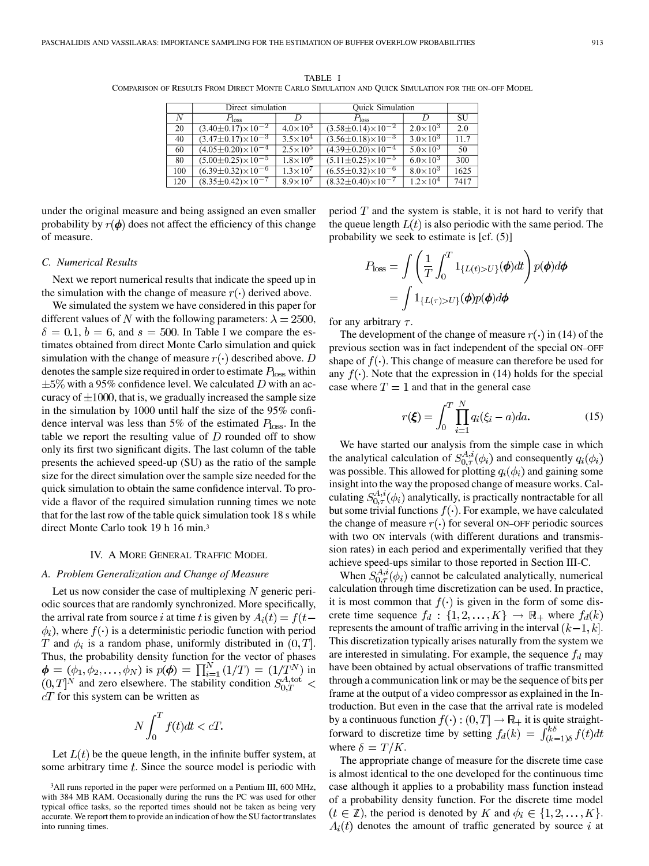|     | Direct simulation                |                     | <b>Quick Simulation</b>          |                     |      |
|-----|----------------------------------|---------------------|----------------------------------|---------------------|------|
| N   | $P_{\rm loss}$                   |                     | $P_{loss}$                       |                     | SU   |
| 20  | $(3.40 \pm 0.17) \times 10^{-2}$ | $4.0\times10^{3}$   | $(3.58 \pm 0.14) \times 10^{-2}$ | $2.0\times10^{3}$   | 2.0  |
| 40  | $(3.47 \pm 0.17) \times 10^{-3}$ | $3.5 \times 10^{4}$ | $(3.56 \pm 0.18) \times 10^{-3}$ | $3.0 \times 10^3$   | 11.7 |
| 60  | $(4.05 \pm 0.20) \times 10^{-4}$ | $2.5 \times 10^{5}$ | $(4.39\pm0.20)\times10^{-4}$     | $5.0 \times 10^{3}$ | 50   |
| 80  | $(5.00\pm0.25)\times10^{-5}$     | $1.8\times10^{6}$   | $(5.11 \pm 0.25) \times 10^{-5}$ | $6.0\times10^{3}$   | 300  |
| 100 | $(6.39\pm0.32)\times10^{-6}$     | $1.3 \times 10^{7}$ | $(6.55 \pm 0.32) \times 10^{-6}$ | $8.0\times10^3$     | 1625 |
| 120 | $(8.35 \pm 0.42) \times 10^{-7}$ | $8.9\times10^{7}$   | $(8.32 \pm 0.40) \times 10^{-7}$ | $1.2\times10^{4}$   | 7417 |

TABLE I COMPARISON OF RESULTS FROM DIRECT MONTE CARLO SIMULATION AND QUICK SIMULATION FOR THE ON–OFF MODEL

under the original measure and being assigned an even smaller probability by  $r(\phi)$  does not affect the efficiency of this change of measure.

#### *C. Numerical Results*

Next we report numerical results that indicate the speed up in the simulation with the change of measure  $r(\cdot)$  derived above.

We simulated the system we have considered in this paper for different values of N with the following parameters:  $\lambda = 2500$ ,  $\delta = 0.1, b = 6$ , and  $s = 500$ . In Table I we compare the estimates obtained from direct Monte Carlo simulation and quick simulation with the change of measure  $r(\cdot)$  described above. D denotes the sample size required in order to estimate  $P_{\text{loss}}$  within  $\pm 5\%$  with a 95% confidence level. We calculated D with an accuracy of  $\pm 1000$ , that is, we gradually increased the sample size in the simulation by 1000 until half the size of the 95% confidence interval was less than 5% of the estimated  $P_{\text{loss}}$ . In the table we report the resulting value of  $D$  rounded off to show only its first two significant digits. The last column of the table presents the achieved speed-up (SU) as the ratio of the sample size for the direct simulation over the sample size needed for the quick simulation to obtain the same confidence interval. To provide a flavor of the required simulation running times we note that for the last row of the table quick simulation took 18 s while direct Monte Carlo took 19 h 16 min.3

## IV. A MORE GENERAL TRAFFIC MODEL

## *A. Problem Generalization and Change of Measure*

Let us now consider the case of multiplexing  $N$  generic periodic sources that are randomly synchronized. More specifically, the arrival rate from source i at time t is given by  $A_i(t) = f(t \phi_i$ ), where  $f(\cdot)$  is a deterministic periodic function with period T and  $\phi_i$  is a random phase, uniformly distributed in  $(0, T]$ . Thus, the probability density function for the vector of phases  $\phi = (\phi_1, \phi_2, \dots, \phi_N)$  is  $p(\phi) = \prod_{i=1}^N (1/T) = (1/T^N)$  in  $(0,T]^N$  and zero elsewhere. The stability condition  $S_{0,T}^{A,\text{tot}}$  <  $cT$  for this system can be written as

$$
N\int_0^T f(t)dt < cT
$$

Let  $L(t)$  be the queue length, in the infinite buffer system, at some arbitrary time  $t$ . Since the source model is periodic with period  $T$  and the system is stable, it is not hard to verify that the queue length  $L(t)$  is also periodic with the same period. The probability we seek to estimate is [cf. (5)]

$$
P_{\text{loss}} = \int \left( \frac{1}{T} \int_0^T 1_{\{L(t) > U\}}(\phi) dt \right) p(\phi) d\phi
$$
\n
$$
= \int 1_{\{L(\tau) > U\}}(\phi) p(\phi) d\phi
$$

for any arbitrary  $\tau$ .

The development of the change of measure  $r(\cdot)$  in (14) of the previous section was in fact independent of the special ON–OFF shape of  $f(\cdot)$ . This change of measure can therefore be used for any  $f(\cdot)$ . Note that the expression in (14) holds for the special case where  $T = 1$  and that in the general case

$$
r(\xi) = \int_0^T \prod_{i=1}^N q_i(\xi_i - a) da.
$$
 (15)

We have started our analysis from the simple case in which the analytical calculation of  $S^{A,i}_{0,\tau}(\phi_i)$  and consequently  $q_i(\phi_i)$ was possible. This allowed for plotting  $q_i(\phi_i)$  and gaining some insight into the way the proposed change of measure works. Calculating  $S^{A,\iota}_{0,\tau}(\phi_i)$  analytically, is practically nontractable for all but some trivial functions  $f(\cdot)$ . For example, we have calculated the change of measure  $r(\cdot)$  for several ON–OFF periodic sources with two ON intervals (with different durations and transmission rates) in each period and experimentally verified that they achieve speed-ups similar to those reported in Section III-C.

When  $S^{A,i}_{0,\tau}(\phi_i)$  cannot be calculated analytically, numerical calculation through time discretization can be used. In practice, it is most common that  $f(\cdot)$  is given in the form of some discrete time sequence  $f_d$ :  $\{1, 2, ..., K\}$   $\rightarrow \mathbb{R}_+$  where  $f_d(k)$ represents the amount of traffic arriving in the interval  $(k-1, k]$ . This discretization typically arises naturally from the system we are interested in simulating. For example, the sequence  $f_d$  may have been obtained by actual observations of traffic transmitted through a communication link or may be the sequence of bits per frame at the output of a video compressor as explained in the Introduction. But even in the case that the arrival rate is modeled by a continuous function  $f(\cdot): (0, T] \to \mathbb{R}_+$  it is quite straightforward to discretize time by setting  $f_d(k) = \int_{(k-1)\delta}^{k\delta} f(t) dt$ where  $\delta = T/K$ .

The appropriate change of measure for the discrete time case is almost identical to the one developed for the continuous time case although it applies to a probability mass function instead of a probability density function. For the discrete time model  $(t \in \mathbb{Z})$ , the period is denoted by K and  $\phi_i \in \{1, 2, ..., K\}$ .  $A_i(t)$  denotes the amount of traffic generated by source i at

<sup>3</sup>All runs reported in the paper were performed on a Pentium III, 600 MHz, with 384 MB RAM. Occasionally during the runs the PC was used for other typical office tasks, so the reported times should not be taken as being very accurate. We report them to provide an indication of how the SU factor translates into running times.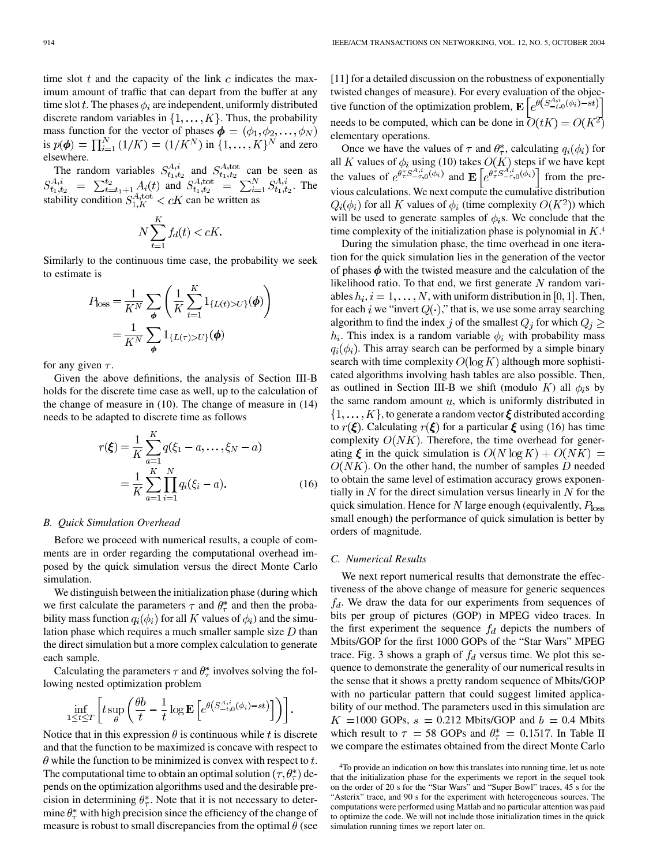time slot  $t$  and the capacity of the link  $c$  indicates the maximum amount of traffic that can depart from the buffer at any time slot t. The phases  $\phi_i$  are independent, uniformly distributed discrete random variables in  $\{1, \ldots, K\}$ . Thus, the probability mass function for the vector of phases is  $p(\phi) = \prod_{i=1}^{N} (1/K) = (1/K^{N})$  in  $\{1, ..., K\}^{N}$  and zero elsewhere.

The random variables  $S_{t_1,t_2}^{A,t_1}$  and  $S_{t_1,t_2}^{A,t_2}$  can be seen as and  $S_{t_1,t_2}^{A,\text{tot}} = \sum_{i=1}^{N} S_{t_1,t_2}^{A,i}$ . The stability condition  $S_{1,K}^{A,\text{tot}} < cK$  can be written as

$$
N\sum_{t=1}^{K} f_d(t) < cK.
$$

Similarly to the continuous time case, the probability we seek to estimate is

$$
P_{\text{loss}} = \frac{1}{K^N} \sum_{\phi} \left( \frac{1}{K} \sum_{t=1}^K 1_{\{L(t) > U\}}(\phi) \right)
$$
\n
$$
= \frac{1}{K^N} \sum_{\phi} 1_{\{L(\tau) > U\}}(\phi)
$$

for any given  $\tau$ .

Given the above definitions, the analysis of Section III-B holds for the discrete time case as well, up to the calculation of the change of measure in (10). The change of measure in (14) needs to be adapted to discrete time as follows

$$
r(\boldsymbol{\xi}) = \frac{1}{K} \sum_{a=1}^{K} q(\xi_1 - a, \dots, \xi_N - a)
$$
  
= 
$$
\frac{1}{K} \sum_{a=1}^{K} \prod_{i=1}^{N} q_i(\xi_i - a).
$$
 (16)

## *B. Quick Simulation Overhead*

Before we proceed with numerical results, a couple of comments are in order regarding the computational overhead imposed by the quick simulation versus the direct Monte Carlo simulation.

We distinguish between the initialization phase (during which we first calculate the parameters  $\tau$  and  $\theta^*$  and then the probability mass function  $q_i(\phi_i)$  for all K values of  $\phi_i$ ) and the simulation phase which requires a much smaller sample size  $D$  than the direct simulation but a more complex calculation to generate each sample.

Calculating the parameters  $\tau$  and  $\theta_{\tau}^*$  involves solving the following nested optimization problem

$$
\inf_{1 \leq t \leq T} \left[ t \sup_{\theta} \left( \frac{\theta b}{t} - \frac{1}{t} \log \mathbf{E} \left[ e^{\theta \left( S_{-t,0}^{A,i}(\phi_i) - st \right)} \right] \right) \right].
$$

Notice that in this expression  $\theta$  is continuous while t is discrete and that the function to be maximized is concave with respect to  $\theta$  while the function to be minimized is convex with respect to t. The computational time to obtain an optimal solution  $(\tau, \theta^*_\tau)$  depends on the optimization algorithms used and the desirable precision in determining  $\theta_{\tau}^*$ . Note that it is not necessary to determine  $\theta^*_{\tau}$  with high precision since the efficiency of the change of measure is robust to small discrepancies from the optimal  $\theta$  (see [[11\]](#page-12-0) for a detailed discussion on the robustness of exponentially twisted changes of measure). For every evaluation of the objective function of the optimization problem, needs to be computed, which can be done in elementary operations.

Once we have the values of  $\tau$  and  $\theta^*_{\tau}$ , calculating  $q_i(\phi_i)$  for all K values of  $\phi_i$  using (10) takes  $O(K)$  steps if we have kept the values of  $e^{\theta_{\tau} S_{-\tau,0}(\phi_i)}$  and  $\mathbf{E} |e^{\theta_{\tau} S_{-\tau,0}(\phi_i)}|$  from the previous calculations. We next compute the cumulative distribution  $Q_i(\phi_i)$  for all K values of  $\phi_i$  (time complexity  $O(K^2)$ ) which will be used to generate samples of  $\phi_i$ s. We conclude that the time complexity of the initialization phase is polynomial in  $K^4$ .

During the simulation phase, the time overhead in one iteration for the quick simulation lies in the generation of the vector of phases  $\phi$  with the twisted measure and the calculation of the likelihood ratio. To that end, we first generate  $N$  random variables  $h_i$ ,  $i = 1, \ldots, N$ , with uniform distribution in [0, 1]. Then, for each i we "invert  $Q(\cdot)$ ," that is, we use some array searching algorithm to find the index j of the smallest  $Q_j$  for which  $Q_j \geq$  $h_i$ . This index is a random variable  $\phi_i$  with probability mass  $q_i(\phi_i)$ . This array search can be performed by a simple binary search with time complexity  $O(\log K)$  although more sophisticated algorithms involving hash tables are also possible. Then, as outlined in Section III-B we shift (modulo K) all  $\phi_i$ s by the same random amount  $u$ , which is uniformly distributed in  $\{1,\ldots,K\}$ , to generate a random vector  $\xi$  distributed according to  $r(\xi)$ . Calculating  $r(\xi)$  for a particular  $\xi$  using (16) has time complexity  $O(NK)$ . Therefore, the time overhead for generating  $\xi$  in the quick simulation is  $O(N \log K) + O(NK) =$  $O(NK)$ . On the other hand, the number of samples D needed to obtain the same level of estimation accuracy grows exponentially in  $N$  for the direct simulation versus linearly in  $N$  for the quick simulation. Hence for N large enough (equivalently,  $P_{\text{loss}}$ ) small enough) the performance of quick simulation is better by orders of magnitude.

# *C. Numerical Results*

We next report numerical results that demonstrate the effectiveness of the above change of measure for generic sequences  $f_d$ . We draw the data for our experiments from sequences of bits per group of pictures (GOP) in MPEG video traces. In the first experiment the sequence  $f_d$  depicts the numbers of Mbits/GOP for the first 1000 GOPs of the "Star Wars" MPEG trace. Fig. 3 shows a graph of  $f_d$  versus time. We plot this sequence to demonstrate the generality of our numerical results in the sense that it shows a pretty random sequence of Mbits/GOP with no particular pattern that could suggest limited applicability of our method. The parameters used in this simulation are  $K = 1000$  GOPs,  $s = 0.212$  Mbits/GOP and  $b = 0.4$  Mbits which result to  $\tau = 58$  GOPs and  $\theta_{\tau}^* = 0.1517$ . In Table II we compare the estimates obtained from the direct Monte Carlo

<sup>4</sup>To provide an indication on how this translates into running time, let us note that the initialization phase for the experiments we report in the sequel took on the order of 20 s for the "Star Wars" and "Super Bowl" traces, 45 s for the "Asterix" trace, and 90 s for the experiment with heterogeneous sources. The computations were performed using Matlab and no particular attention was paid to optimize the code. We will not include those initialization times in the quick simulation running times we report later on.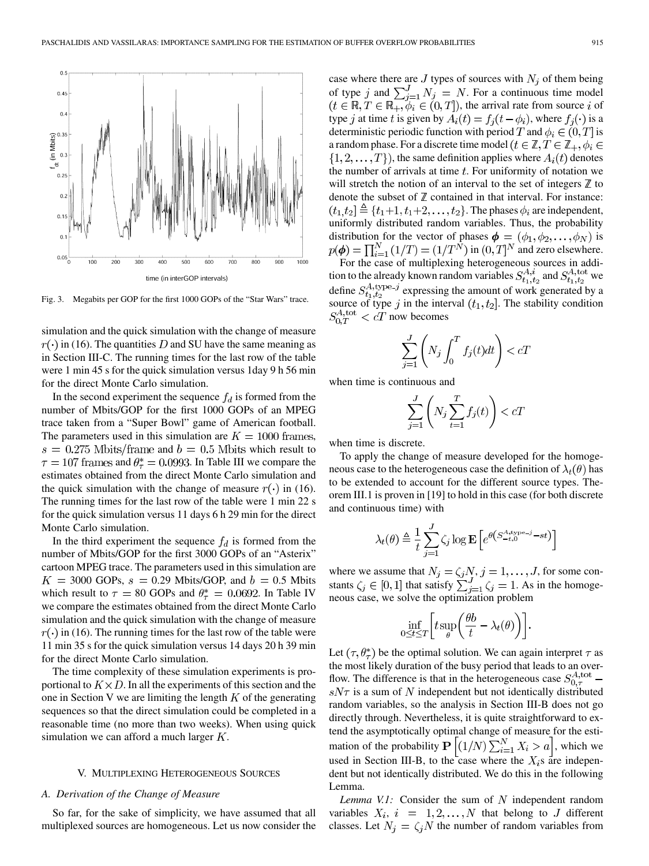

Fig. 3. Megabits per GOP for the first 1000 GOPs of the "Star Wars" trace.

simulation and the quick simulation with the change of measure  $r(\cdot)$  in (16). The quantities D and SU have the same meaning as in Section III-C. The running times for the last row of the table were 1 min 45 s for the quick simulation versus 1day 9 h 56 min for the direct Monte Carlo simulation.

In the second experiment the sequence  $f_d$  is formed from the number of Mbits/GOP for the first 1000 GOPs of an MPEG trace taken from a "Super Bowl" game of American football. The parameters used in this simulation are  $K = 1000$  frames,  $s = 0.275$  Mbits/frame and  $b = 0.5$  Mbits which result to  $\tau = 107$  frames and  $\theta_{\tau}^* = 0.0993$ . In Table III we compare the estimates obtained from the direct Monte Carlo simulation and the quick simulation with the change of measure  $r(\cdot)$  in (16). The running times for the last row of the table were 1 min 22 s for the quick simulation versus 11 days 6 h 29 min for the direct Monte Carlo simulation.

In the third experiment the sequence  $f_d$  is formed from the number of Mbits/GOP for the first 3000 GOPs of an "Asterix" cartoon MPEG trace. The parameters used in this simulation are  $K = 3000$  GOPs,  $s = 0.29$  Mbits/GOP, and  $b = 0.5$  Mbits which result to  $\tau = 80$  GOPs and  $\theta_{\tau}^* = 0.0692$ . In Table IV we compare the estimates obtained from the direct Monte Carlo simulation and the quick simulation with the change of measure  $r(\cdot)$  in (16). The running times for the last row of the table were 11 min 35 s for the quick simulation versus 14 days 20 h 39 min for the direct Monte Carlo simulation.

The time complexity of these simulation experiments is proportional to  $K \times D$ . In all the experiments of this section and the one in Section V we are limiting the length  $K$  of the generating sequences so that the direct simulation could be completed in a reasonable time (no more than two weeks). When using quick simulation we can afford a much larger  $K$ .

## V. MULTIPLEXING HETEROGENEOUS SOURCES

# *A. Derivation of the Change of Measure*

So far, for the sake of simplicity, we have assumed that all multiplexed sources are homogeneous. Let us now consider the

case where there are J types of sources with  $N_i$  of them being of type j and  $\sum_{i=1}^{J} N_i = N$ . For a continuous time model  $(t \in \mathbb{R}, T \in \overline{\mathbb{R}_+}, \phi_i \in (0,T])$ , the arrival rate from source i of type j at time t is given by  $A_i(t) = f_j(t - \phi_i)$ , where  $f_j(\cdot)$  is a deterministic periodic function with period T and  $\phi_i \in (0, T]$  is a random phase. For a discrete time model ( $t \in \mathbb{Z}, T \in \mathbb{Z}_+, \phi_i \in$  $\{1, 2, \ldots, T\}$ , the same definition applies where  $A_i(t)$  denotes the number of arrivals at time  $t$ . For uniformity of notation we will stretch the notion of an interval to the set of integers  $\mathbb Z$  to denote the subset of  $\mathbb Z$  contained in that interval. For instance:  $(t_1, t_2] \triangleq \{t_1+1, t_1+2, \ldots, t_2\}$ . The phases  $\phi_i$  are independent, uniformly distributed random variables. Thus, the probability distribution for the vector of phases  $\boldsymbol{\phi} = (\phi_1, \phi_2, \dots, \phi_N)$  is  $p(\boldsymbol{\phi}) = \prod_{i=1}^{N} (1/T) = (1/T^{N})$  in  $(0,T]^{N}$  and zero elsewhere.

For the case of multiplexing heterogeneous sources in addition to the already known random variables  $S_{t_1,t_2}^{A,i}$  and  $S_{t_1,t_2}^{A,\text{tot}}$  we define  $S_{t_1,t_2}^{A,\text{type-}j}$  expressing the amount of work generated by a source of type j in the interval  $(t_1, t_2]$ . The stability condition  $S_{0,T}^{A,\text{tot}} < cT$  now becomes

$$
\sum_{j=1}^{J} \left( N_j \int_0^T f_j(t) dt \right) < c
$$

when time is continuous and

$$
\sum_{j=1}^{J} \left( N_j \sum_{t=1}^{T} f_j(t) \right) < c
$$

when time is discrete.

To apply the change of measure developed for the homogeneous case to the heterogeneous case the definition of  $\lambda_t(\theta)$  has to be extended to account for the different source types. Theorem III.1 is proven in [\[19](#page-12-0)] to hold in this case (for both discrete and continuous time) with

$$
\lambda_t(\theta) \triangleq \frac{1}{t} \sum_{j=1}^J \zeta_j \log \mathbf{E} \left[ e^{\theta \left( S_{-t,0}^{\mathcal{A}, \text{type-}j} - st \right)} \right]
$$

where we assume that  $N_i = \zeta_i N, j = 1, \dots, J$ , for some constants  $\zeta_i \in [0,1]$  that satisfy  $\sum_{i=1}^{J} \zeta_i = 1$ . As in the homogeneous case, we solve the optimization problem

$$
\inf_{0 \le t \le T} \left[ t \sup_{\theta} \left( \frac{\theta b}{t} - \lambda_t(\theta) \right) \right]
$$

Let  $(\tau, \theta^*_\tau)$  be the optimal solution. We can again interpret  $\tau$  as the most likely duration of the busy period that leads to an overflow. The difference is that in the heterogeneous case  $S_{0,\tau}^{A,\text{tot}}$  –  $sN\tau$  is a sum of N independent but not identically distributed random variables, so the analysis in Section III-B does not go directly through. Nevertheless, it is quite straightforward to extend the asymptotically optimal change of measure for the estimation of the probability  $\mathbf{P}\left[\left(1/N\right)\sum_{i=1}^{N} X_i > a\right]$ , which we used in Section III-B, to the case where the  $X_i$ s are independent but not identically distributed. We do this in the following Lemma.

*Lemma V.1:* Consider the sum of  $N$  independent random variables  $X_i$ ,  $i = 1, 2, ..., N$  that belong to J different classes. Let  $N_j = \zeta_j N$  the number of random variables from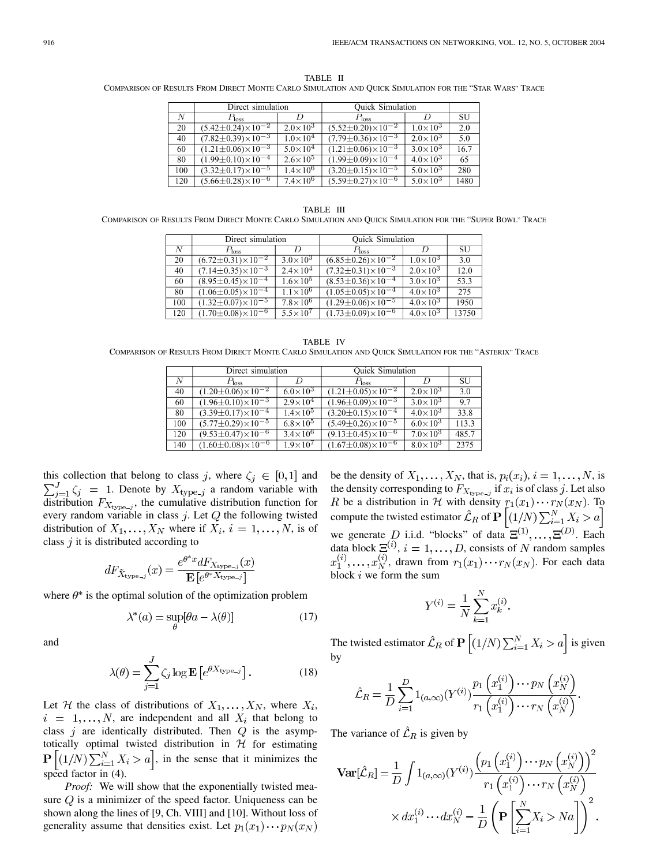TABLE II COMPARISON OF RESULTS FROM DIRECT MONTE CARLO SIMULATION AND QUICK SIMULATION FOR THE "STAR WARS" TRACE

|     | Direct simulation                |                     | <b>Ouick Simulation</b>          |                     |      |
|-----|----------------------------------|---------------------|----------------------------------|---------------------|------|
| N   | $P_{loss}$                       |                     | $P_{loss}$                       |                     | SU   |
| 20  | $(5.42 \pm 0.24) \times 10^{-2}$ | $2.0 \times 10^{3}$ | $(5.52 \pm 0.20) \times 10^{-2}$ | $1.0 \times 10^{3}$ | 2.0  |
| 40  | $(7.82 \pm 0.39) \times 10^{-3}$ | $1.0\times10^{4}$   | $(7.79 \pm 0.36) \times 10^{-3}$ | $2.0\times10^{3}$   | 5.0  |
| 60  | $(1.21 \pm 0.06) \times 10^{-3}$ | $5.0\times10^{4}$   | $(1.21 \pm 0.06) \times 10^{-3}$ | $3.0 \times 10^3$   | 16.7 |
| 80  | $(1.99 \pm 0.10) \times 10^{-4}$ | $2.6\times10^{5}$   | $(1.99 \pm 0.09) \times 10^{-4}$ | $4.0 \times 10^{3}$ | -65  |
| 100 | $(3.32 \pm 0.17) \times 10^{-5}$ | $1.4\times10^{6}$   | $(3.20 \pm 0.15) \times 10^{-5}$ | $5.0\times10^{3}$   | 280  |
| 120 | $(5.66 \pm 0.28) \times 10^{-6}$ | $7.4 \times 10^6$   | $(5.59 \pm 0.27) \times 10^{-6}$ | $5.0 \times 10^{3}$ | 1480 |

TABLE III COMPARISON OF RESULTS FROM DIRECT MONTE CARLO SIMULATION AND QUICK SIMULATION FOR THE "SUPER BOWL" TRACE

|     | Direct simulation                |                     | <b>Ouick Simulation</b>          |                     |       |
|-----|----------------------------------|---------------------|----------------------------------|---------------------|-------|
| Ν   | $P_{loss}$                       |                     | $P_{\rm loss}$                   |                     | SU    |
| 20  | $(6.72 \pm 0.31) \times 10^{-2}$ | $3.0\times10^{3}$   | $(6.85 \pm 0.26) \times 10^{-2}$ | $1.0\times10^{3}$   | 3.0   |
| 40  | $(7.14 \pm 0.35) \times 10^{-3}$ | $2.4\times10^{4}$   | $(7.32 \pm 0.31) \times 10^{-3}$ | $2.0 \times 10^{3}$ | 12.0  |
| 60  | $(8.95 \pm 0.45) \times 10^{-4}$ | $1.6\times10^{5}$   | $(8.53 \pm 0.36) \times 10^{-4}$ | $3.0 \times 10^{3}$ | 53.3  |
| 80  | $(1.06 \pm 0.05) \times 10^{-4}$ | $1.1 \times 10^{6}$ | $(1.05 \pm 0.05) \times 10^{-4}$ | $4.0 \times 10^{3}$ | 275   |
| 100 | $(1.32 \pm 0.07) \times 10^{-5}$ | $7.8 \times 10^6$   | $(1.29 \pm 0.06) \times 10^{-5}$ | $4.0\times10^{3}$   | 1950  |
| 120 | $(1.70 \pm 0.08) \times 10^{-6}$ | $5.5 \times 10^{7}$ | $(1.73 \pm 0.09) \times 10^{-6}$ | $4.0\times10^{3}$   | 13750 |

TABLE IV COMPARISON OF RESULTS FROM DIRECT MONTE CARLO SIMULATION AND QUICK SIMULATION FOR THE "ASTERIX" TRACE

|     | Direct simulation                |                     | <b>Quick Simulation</b>          |                     |       |
|-----|----------------------------------|---------------------|----------------------------------|---------------------|-------|
| Ν   | $P_{\text{loss}}$                |                     | $P_{\text{loss}}$                |                     | SU    |
| 40  | $(1.20 \pm 0.06) \times 10^{-2}$ | $6.0\times10^{3}$   | $(1.21 \pm 0.05) \times 10^{-2}$ | $2.0\times10^{3}$   | 3.0   |
| 60  | $(1.96 \pm 0.10) \times 10^{-3}$ | $2.9\times10^{4}$   | $(1.96 \pm 0.09) \times 10^{-3}$ | $3.0 \times 10^{3}$ | 9.7   |
| 80  | $(3.39 \pm 0.17) \times 10^{-4}$ | $1.4\times10^{5}$   | $(3.20 \pm 0.15) \times 10^{-4}$ | $4.0 \times 10^{3}$ | 33.8  |
| 100 | $(5.77 \pm 0.29) \times 10^{-5}$ | $6.8\times10^{5}$   | $(5.49 \pm 0.26) \times 10^{-5}$ | $6.0\times10^{3}$   | 113.3 |
| 120 | $(9.53 \pm 0.47) \times 10^{-6}$ | $3.4 \times 10^{6}$ | $(9.13 \pm 0.45) \times 10^{-6}$ | $7.0 \times 10^{3}$ | 485.7 |
| 140 | $(1.60 \pm 0.08) \times 10^{-6}$ | $1.9 \times 10^{7}$ | $(1.67 \pm 0.08) \times 10^{-6}$ | $8.0\times10^3$     | 2375  |

this collection that belong to class j, where  $\zeta_j \in [0,1]$  and  $\sum_{j=1}^{J} \zeta_j = 1$ . Denote by  $X_{\text{type-}j}$  a random variable with distribution  $F_{X_{\text{type}-j}}$ , the cumulative distribution function for every random variable in class  $j$ . Let  $Q$  the following twisted distribution of  $X_1, \ldots, X_N$  where if  $X_i, i = 1, \ldots, N$ , is of class  $j$  it is distributed according to

$$
dF_{\tilde{X}_{\text{type}-j}}(x) = \frac{e^{\theta^*x} dF_{X_{\text{type}-j}}(x)}{\mathbf{E}\left[e^{\theta^* X_{\text{type}-j}}\right]}
$$

where  $\theta^*$  is the optimal solution of the optimization problem

$$
\lambda^*(a) = \sup_a[\theta a - \lambda(\theta)] \tag{17}
$$

and

$$
\lambda(\theta) = \sum_{j=1}^{J} \zeta_j \log \mathbf{E} \left[ e^{\theta X_{\text{type-}j}} \right]. \tag{18}
$$

Let H the class of distributions of  $X_1, \ldots, X_N$ , where  $X_i$ ,  $i = 1, \ldots, N$ , are independent and all  $X_i$  that belong to class  $j$  are identically distributed. Then  $Q$  is the asymptotically optimal twisted distribution in  $H$  for estimating  $\mathbf{P}\left[\left(1/N\right)\sum_{i=1}^{N}X_{i}>a\right]$ , in the sense that it minimizes the speed factor in (4).

*Proof:* We will show that the exponentially twisted measure  $Q$  is a minimizer of the speed factor. Uniqueness can be shown along the lines of [\[9](#page-12-0), Ch. VIII] and [[10\]](#page-12-0). Without loss of generality assume that densities exist. Let  $p_1(x_1) \cdots p_N(x_N)$  be the density of  $X_1, \ldots, X_N$ , that is,  $p_i(x_i)$ ,  $i = 1, \ldots, N$ , is the density corresponding to  $F_{X_{\text{true},i}}$  if  $x_i$  is of class j. Let also be a distribution in H with density  $r_1(x_1) \cdots r_N(x_N)$ . To compute the twisted estimator  $\mathcal{L}_R$  of we generate D i.i.d. "blocks" of data  $\mathbf{E}^{(1)}, \ldots, \mathbf{E}^{(D)}$ . Each data block  $\Xi^{(i)}$ ,  $i = 1, ..., D$ , consists of N random samples , drawn from  $r_1(x_1) \cdots r_N(x_N)$ . For each data block  $i$  we form the sum

$$
Y^{(i)} = \frac{1}{N} \sum_{k=1}^{N} x_k^{(i)}.
$$

The twisted estimator  $\mathcal{L}_R$  of  $\mathbf{P}\left[\left(1/N\right)\sum_{i=1}^N X_i > a\right]$  is given by

$$
\hat{\mathcal{L}}_R = \frac{1}{D} \sum_{i=1}^D 1_{(a,\infty)}(Y^{(i)}) \frac{p_1\left(x_1^{(i)}\right) \cdots p_N\left(x_N^{(i)}\right)}{r_1\left(x_1^{(i)}\right) \cdots r_N\left(x_N^{(i)}\right)}.
$$

The variance of  $\hat{\mathcal{L}}_R$  is given by

$$
\mathbf{Var}[\hat{\mathcal{L}}_R] = \frac{1}{D} \int 1_{(a,\infty)} (Y^{(i)}) \frac{\left(p_1\left(x_1^{(i)}\right) \cdots p_N\left(x_N^{(i)}\right)\right)^2}{r_1\left(x_1^{(i)}\right) \cdots r_N\left(x_N^{(i)}\right)} \times dx_1^{(i)} \cdots dx_N^{(i)} - \frac{1}{D} \left(\mathbf{P}\left[\sum_{i=1}^N X_i > Na\right]\right)^2.
$$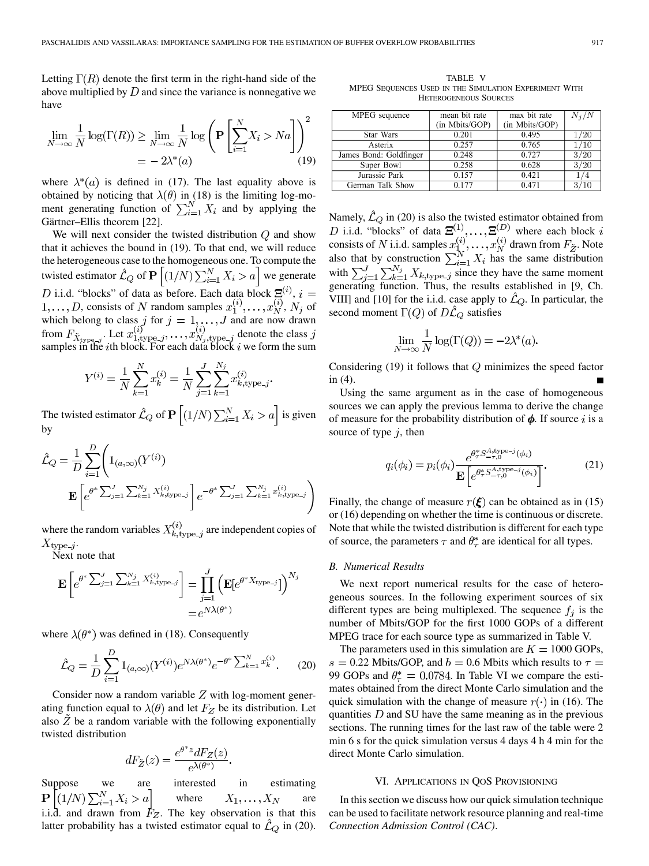Letting  $\Gamma(R)$  denote the first term in the right-hand side of the above multiplied by  $D$  and since the variance is nonnegative we have

$$
\lim_{N \to \infty} \frac{1}{N} \log(\Gamma(R)) \ge \lim_{N \to \infty} \frac{1}{N} \log \left( \mathbf{P} \left[ \sum_{i=1}^{N} X_i > Na \right] \right)^2
$$
  
= -2\lambda^\*(a) (19)

where  $\lambda^*(a)$  is defined in (17). The last equality above is obtained by noticing that  $\lambda(\theta)$  in (18) is the limiting log-moment generating function of  $\sum_{i=1}^{N} X_i$  and by applying the Gärtner–Ellis theorem [\[22](#page-12-0)].

We will next consider the twisted distribution  $Q$  and show that it achieves the bound in (19). To that end, we will reduce the heterogeneous case to the homogeneous one. To compute the twisted estimator  $\mathcal{L}_Q$  of  $P((1/N)\sum_{i=1}^N X_i > a)$  we generate i.i.d. "blocks" of data as before. Each data block  $\Xi^{(i)}$ , 1, ..., *D*, consists of *N* random samples  $x_1^{(i)}, \ldots, x_N^{(i)}$ ,  $N_j$  of which belong to class j for  $j = 1, ..., J$  and are now drawn from  $F_{\tilde{X}_{\text{temp}}}$ . Let  $x_{1,\text{true}}^{(i)}$ ,  $\ldots, x_{N_{i,\text{type}}}^{(i)}$  denote the class samples in the *i*th block. For each data block  $i$  we form the sum

$$
Y^{(i)} = \frac{1}{N} \sum_{k=1}^{N} x_k^{(i)} = \frac{1}{N} \sum_{j=1}^{J} \sum_{k=1}^{N_j} x_{k, \text{type-}j}^{(i)}.
$$

The twisted estimator  $\hat{\mathcal{L}}_Q$  of  $\mathbf{P}\left[\left(1/N\right)\sum_{i=1}^N X_i > a\right]$  is given by

$$
\hat{\mathcal{L}}_Q = \frac{1}{D} \sum_{i=1}^D \left( 1_{(a,\infty)} (Y^{(i)}) \right)
$$

$$
\mathbf{E} \left[ e^{\theta^* \sum_{j=1}^J \sum_{k=1}^{N_j} X_{k,\text{type-}j}^{(i)}} \right] e^{-\theta^* \sum_{j=1}^J \sum_{k=1}^{N_j} x_{k,\text{type-}j}^{(i)}} \right)
$$

where the random variables  $X_{k,\text{type-}i}^{(i)}$  are independent copies of  $X_{\text{type}_i}$ .

Next note that

$$
\mathbf{E}\left[e^{\theta^* \sum_{j=1}^J \sum_{k=1}^{N_j} X_{k,\text{type-}j}^{(i)}}\right] = \prod_{j=1}^J \left(\mathbf{E}[e^{\theta^* X_{\text{type-}j}}]\right)^{N_j} = e^{N\lambda(\theta^*)}
$$

where  $\lambda(\theta^*)$  was defined in (18). Consequently

$$
\hat{\mathcal{L}}_Q = \frac{1}{D} \sum_{i=1}^D 1_{(a,\infty)} (Y^{(i)}) e^{N\lambda(\theta^*)} e^{-\theta^* \sum_{k=1}^N x_k^{(i)}}.
$$
 (20)

Consider now a random variable  $Z$  with log-moment generating function equal to  $\lambda(\theta)$  and let  $F_Z$  be its distribution. Let also  $\tilde{Z}$  be a random variable with the following exponentially twisted distribution

$$
dF_{\widetilde{Z}}(z) = \frac{e^{\theta^* z} dF_Z(z)}{e^{\lambda(\theta^*)}}.
$$

Suppose we are interested in estimating<br>  $\mathbf{P}\left[(1/N)\sum_{i=1}^{N}X_i > a\right]$  where  $X_1,\ldots,X_N$  are where  $X_1, \ldots, X_N$  are i.i.d. and drawn from  $F_Z$ . The key observation is that this latter probability has a twisted estimator equal to  $\mathcal{L}_Q$  in (20).

TABLE V MPEG SEQUENCES USED IN THE SIMULATION EXPERIMENT WITH HETEROGENEOUS SOURCES

| MPEG sequence          | mean bit rate  | max bit rate   | $N_i/N$     |
|------------------------|----------------|----------------|-------------|
|                        | (in Mbits/GOP) | (in Mbits/GOP) |             |
| Star Wars              | 0.201          | 0.495          | 420         |
| Asterix                | 0.257          | 0.765          | $+710^{-1}$ |
| James Bond: Goldfinger | 0.248          | 0.727          | 3/20        |
| Super Bowl             | 0.258          | 0.628          | 3/20        |
| Jurassic Park          | 0.157          | 0.421          |             |
| German Talk Show       | 0.177          | 0.471          |             |

Namely,  $\mathcal{L}_{Q}$  in (20) is also the twisted estimator obtained from i.i.d. "blocks" of data  $\mathbf{E}^{(1)}, \dots, \mathbf{E}^{(D)}$  where each block consists of N i.i.d. samples  $x_1^{(i)}, \ldots, x_N^{(i)}$  drawn from  $F_{\tilde{Z}}$ . Note also that by construction  $\sum_{i=1}^{N} X_i$  has the same distribution with  $\sum_{i=1}^{J} \sum_{k=1}^{N_j} X_{k, \text{type } j}$  since they have the same moment generating function. Thus, the results established in [\[9](#page-12-0), Ch. VIII] and [[10\]](#page-12-0) for the i.i.d. case apply to  $\mathcal{L}_Q$ . In particular, the second moment  $\Gamma(Q)$  of  $D\hat{\mathcal{L}}_Q$  satisfies

$$
\lim_{N \to \infty} \frac{1}{N} \log(\Gamma(Q)) = -2\lambda^*(a).
$$

Considering  $(19)$  it follows that Q minimizes the speed factor in (4).

Using the same argument as in the case of homogeneous sources we can apply the previous lemma to derive the change of measure for the probability distribution of  $\phi$ . If source i is a source of type  $j$ , then

$$
q_i(\phi_i) = p_i(\phi_i) \frac{e^{\theta_{\tau}^* S_{-\tau,0}^{\mathcal{A}, \text{type-}j}(\phi_i)}}{\mathbf{E}\left[e^{\theta_{\tau}^* S_{-\tau,0}^{\mathcal{A}, \text{type-}j}(\phi_i)}\right]}.
$$
(21)

Finally, the change of measure  $r(\xi)$  can be obtained as in (15) or (16) depending on whether the time is continuous or discrete. Note that while the twisted distribution is different for each type of source, the parameters  $\tau$  and  $\theta^*_{\tau}$  are identical for all types.

## *B. Numerical Results*

We next report numerical results for the case of heterogeneous sources. In the following experiment sources of six different types are being multiplexed. The sequence  $f_i$  is the number of Mbits/GOP for the first 1000 GOPs of a different MPEG trace for each source type as summarized in Table V.

The parameters used in this simulation are  $K = 1000$  GOPs,  $s = 0.22$  Mbits/GOP, and  $b = 0.6$  Mbits which results to  $\tau =$ 99 GOPs and  $\theta_{\tau}^* = 0.0784$ . In Table VI we compare the estimates obtained from the direct Monte Carlo simulation and the quick simulation with the change of measure  $r(\cdot)$  in (16). The quantities  $D$  and SU have the same meaning as in the previous sections. The running times for the last raw of the table were 2 min 6 s for the quick simulation versus 4 days 4 h 4 min for the direct Monte Carlo simulation.

#### VI. APPLICATIONS IN QOS PROVISIONING

In this section we discuss how our quick simulation technique can be used to facilitate network resource planning and real-time *Connection Admission Control (CAC)*.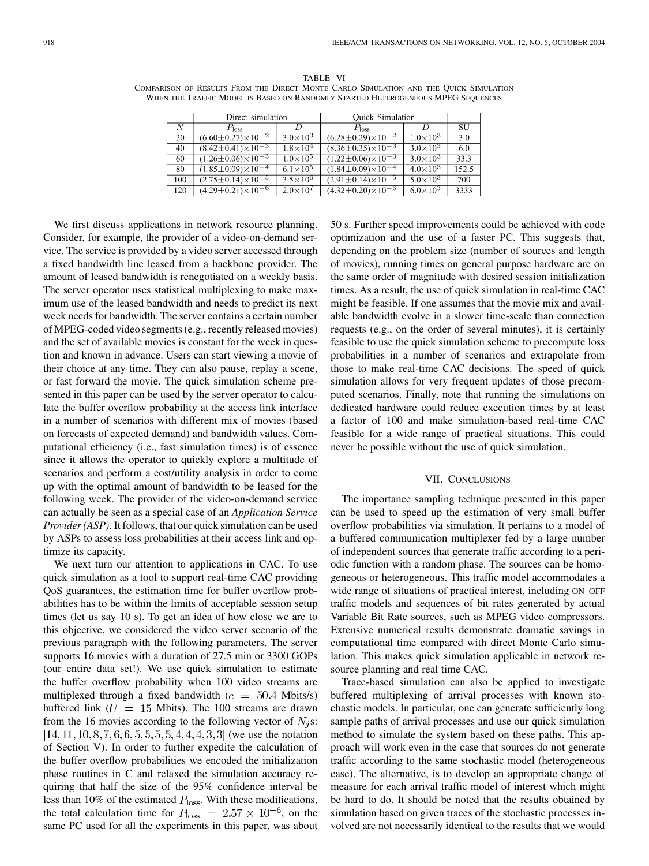TABLE VI COMPARISON OF RESULTS FROM THE DIRECT MONTE CARLO SIMULATION AND THE QUICK SIMULATION WHEN THE TRAFFIC MODEL IS BASED ON RANDOMLY STARTED HETEROGENEOUS MPEG SEQUENCES

|     | Direct simulation                |                   | <b>Quick Simulation</b>          |                     |       |
|-----|----------------------------------|-------------------|----------------------------------|---------------------|-------|
| N   | $P_{\text{loss}}$                |                   | $P_{\rm loss}$                   |                     | SU    |
| 20  | $(6.60 \pm 0.27) \times 10^{-2}$ | $3.0\times10^{3}$ | $(6.28 \pm 0.29) \times 10^{-2}$ | $1.0 \times 10^{3}$ | 3.0   |
| 40  | $(8.42 \pm 0.41) \times 10^{-3}$ | $1.8\times10^{4}$ | $(8.36\pm 0.35)\times 10^{-3}$   | $3.0 \times 10^{3}$ | 6.0   |
| 60  | $(1.26 \pm 0.06) \times 10^{-3}$ | $1.0\times10^{5}$ | $(1.22 \pm 0.06) \times 10^{-3}$ | $3.0 \times 10^3$   | 33.3  |
| 80  | $(1.85 \pm 0.09) \times 10^{-4}$ | $6.1 \times 10^5$ | $(1.84 \pm 0.09) \times 10^{-4}$ | $4.0 \times 10^{3}$ | 152.5 |
| 100 | $(2.75 \pm 0.14) \times 10^{-5}$ | $3.5 \times 10^6$ | $(2.91 \pm 0.14) \times 10^{-5}$ | $5.0\times10^{3}$   | 700   |
| 120 | $(4.29 \pm 0.21) \times 10^{-6}$ | $2.0\times10^{7}$ | $(4.32 \pm 0.20) \times 10^{-6}$ | $6.0\times10^{3}$   | 3333  |

We first discuss applications in network resource planning. Consider, for example, the provider of a video-on-demand service. The service is provided by a video server accessed through a fixed bandwidth line leased from a backbone provider. The amount of leased bandwidth is renegotiated on a weekly basis. The server operator uses statistical multiplexing to make maximum use of the leased bandwidth and needs to predict its next week needs for bandwidth. The server contains a certain number of MPEG-coded video segments (e.g., recently released movies) and the set of available movies is constant for the week in question and known in advance. Users can start viewing a movie of their choice at any time. They can also pause, replay a scene, or fast forward the movie. The quick simulation scheme presented in this paper can be used by the server operator to calculate the buffer overflow probability at the access link interface in a number of scenarios with different mix of movies (based on forecasts of expected demand) and bandwidth values. Computational efficiency (i.e., fast simulation times) is of essence since it allows the operator to quickly explore a multitude of scenarios and perform a cost/utility analysis in order to come up with the optimal amount of bandwidth to be leased for the following week. The provider of the video-on-demand service can actually be seen as a special case of an *Application Service Provider (ASP)*. It follows, that our quick simulation can be used by ASPs to assess loss probabilities at their access link and optimize its capacity.

We next turn our attention to applications in CAC. To use quick simulation as a tool to support real-time CAC providing QoS guarantees, the estimation time for buffer overflow probabilities has to be within the limits of acceptable session setup times (let us say 10 s). To get an idea of how close we are to this objective, we considered the video server scenario of the previous paragraph with the following parameters. The server supports 16 movies with a duration of 27.5 min or 3300 GOPs (our entire data set!). We use quick simulation to estimate the buffer overflow probability when 100 video streams are multiplexed through a fixed bandwidth  $(c = 50.4 \text{ Mbits/s})$ buffered link ( $U = 15$  Mbits). The 100 streams are drawn from the 16 movies according to the following vector of  $N_i$ s:  $[14, 11, 10, 8, 7, 6, 6, 5, 5, 5, 5, 4, 4, 4, 3, 3]$  (we use the notation of Section V). In order to further expedite the calculation of the buffer overflow probabilities we encoded the initialization phase routines in C and relaxed the simulation accuracy requiring that half the size of the 95% confidence interval be less than 10% of the estimated  $P_{\text{loss}}$ . With these modifications, the total calculation time for  $P_{\text{loss}} = 2.57 \times 10^{-6}$ , on the same PC used for all the experiments in this paper, was about

50 s. Further speed improvements could be achieved with code optimization and the use of a faster PC. This suggests that, depending on the problem size (number of sources and length of movies), running times on general purpose hardware are on the same order of magnitude with desired session initialization times. As a result, the use of quick simulation in real-time CAC might be feasible. If one assumes that the movie mix and available bandwidth evolve in a slower time-scale than connection requests (e.g., on the order of several minutes), it is certainly feasible to use the quick simulation scheme to precompute loss probabilities in a number of scenarios and extrapolate from those to make real-time CAC decisions. The speed of quick simulation allows for very frequent updates of those precomputed scenarios. Finally, note that running the simulations on dedicated hardware could reduce execution times by at least a factor of 100 and make simulation-based real-time CAC feasible for a wide range of practical situations. This could never be possible without the use of quick simulation.

## VII. CONCLUSIONS

The importance sampling technique presented in this paper can be used to speed up the estimation of very small buffer overflow probabilities via simulation. It pertains to a model of a buffered communication multiplexer fed by a large number of independent sources that generate traffic according to a periodic function with a random phase. The sources can be homogeneous or heterogeneous. This traffic model accommodates a wide range of situations of practical interest, including ON–OFF traffic models and sequences of bit rates generated by actual Variable Bit Rate sources, such as MPEG video compressors. Extensive numerical results demonstrate dramatic savings in computational time compared with direct Monte Carlo simulation. This makes quick simulation applicable in network resource planning and real time CAC.

Trace-based simulation can also be applied to investigate buffered multiplexing of arrival processes with known stochastic models. In particular, one can generate sufficiently long sample paths of arrival processes and use our quick simulation method to simulate the system based on these paths. This approach will work even in the case that sources do not generate traffic according to the same stochastic model (heterogeneous case). The alternative, is to develop an appropriate change of measure for each arrival traffic model of interest which might be hard to do. It should be noted that the results obtained by simulation based on given traces of the stochastic processes involved are not necessarily identical to the results that we would